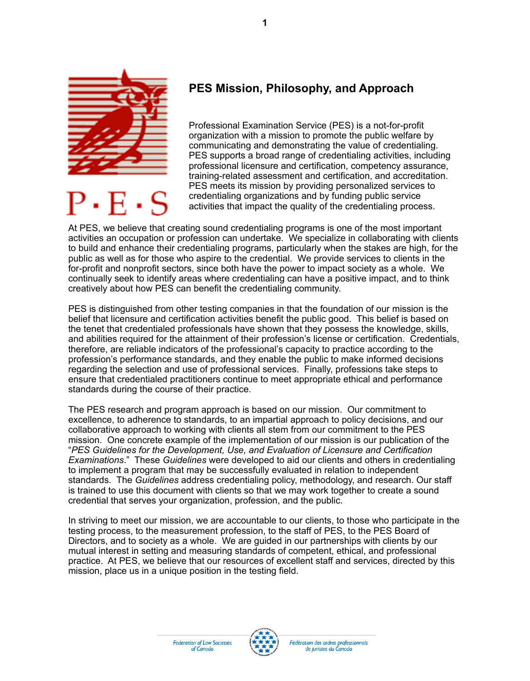

P.E.S

## **PES Mission, Philosophy, and Approach**

Professional Examination Service (PES) is a not-for-profit organization with a mission to promote the public welfare by communicating and demonstrating the value of credentialing. PES supports a broad range of credentialing activities, including professional licensure and certification, competency assurance, training-related assessment and certification, and accreditation. PES meets its mission by providing personalized services to credentialing organizations and by funding public service activities that impact the quality of the credentialing process.

At PES, we believe that creating sound credentialing programs is one of the most important activities an occupation or profession can undertake. We specialize in collaborating with clients to build and enhance their credentialing programs, particularly when the stakes are high, for the public as well as for those who aspire to the credential. We provide services to clients in the for-profit and nonprofit sectors, since both have the power to impact society as a whole. We continually seek to identify areas where credentialing can have a positive impact, and to think creatively about how PES can benefit the credentialing community.

**1**

PES is distinguished from other testing companies in that the foundation of our mission is the belief that licensure and certification activities benefit the public good. This belief is based on the tenet that credentialed professionals have shown that they possess the knowledge, skills, and abilities required for the attainment of their profession's license or certification. Credentials, therefore, are reliable indicators of the professional's capacity to practice according to the profession's performance standards, and they enable the public to make informed decisions regarding the selection and use of professional services. Finally, professions take steps to ensure that credentialed practitioners continue to meet appropriate ethical and performance standards during the course of their practice.

The PES research and program approach is based on our mission. Our commitment to excellence, to adherence to standards, to an impartial approach to policy decisions, and our collaborative approach to working with clients all stem from our commitment to the PES mission. One concrete example of the implementation of our mission is our publication of the "*PES Guidelines for the Development, Use, and Evaluation of Licensure and Certification Examinations*." These *Guidelines* were developed to aid our clients and others in credentialing to implement a program that may be successfully evaluated in relation to independent standards. The *Guidelines* address credentialing policy, methodology, and research. Our staff is trained to use this document with clients so that we may work together to create a sound credential that serves your organization, profession, and the public.

In striving to meet our mission, we are accountable to our clients, to those who participate in the testing process, to the measurement profession, to the staff of PES, to the PES Board of Directors, and to society as a whole. We are guided in our partnerships with clients by our mutual interest in setting and measuring standards of competent, ethical, and professional practice. At PES, we believe that our resources of excellent staff and services, directed by this mission, place us in a unique position in the testing field.

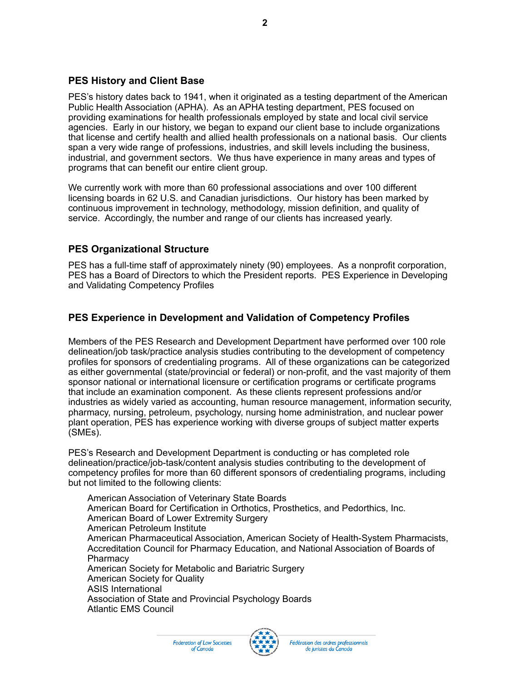## **PES History and Client Base**

PES's history dates back to 1941, when it originated as a testing department of the American Public Health Association (APHA). As an APHA testing department, PES focused on providing examinations for health professionals employed by state and local civil service agencies. Early in our history, we began to expand our client base to include organizations that license and certify health and allied health professionals on a national basis. Our clients span a very wide range of professions, industries, and skill levels including the business, industrial, and government sectors. We thus have experience in many areas and types of programs that can benefit our entire client group.

We currently work with more than 60 professional associations and over 100 different licensing boards in 62 U.S. and Canadian jurisdictions. Our history has been marked by continuous improvement in technology, methodology, mission definition, and quality of service. Accordingly, the number and range of our clients has increased yearly.

## **PES Organizational Structure**

PES has a full-time staff of approximately ninety (90) employees. As a nonprofit corporation, PES has a Board of Directors to which the President reports. PES Experience in Developing and Validating Competency Profiles

## **PES Experience in Development and Validation of Competency Profiles**

Members of the PES Research and Development Department have performed over 100 role delineation/job task/practice analysis studies contributing to the development of competency profiles for sponsors of credentialing programs. All of these organizations can be categorized as either governmental (state/provincial or federal) or non-profit, and the vast majority of them sponsor national or international licensure or certification programs or certificate programs that include an examination component. As these clients represent professions and/or industries as widely varied as accounting, human resource management, information security, pharmacy, nursing, petroleum, psychology, nursing home administration, and nuclear power plant operation, PES has experience working with diverse groups of subject matter experts (SMEs).

PES's Research and Development Department is conducting or has completed role delineation/practice/job-task/content analysis studies contributing to the development of competency profiles for more than 60 different sponsors of credentialing programs, including but not limited to the following clients:

American Association of Veterinary State Boards American Board for Certification in Orthotics, Prosthetics, and Pedorthics, Inc. American Board of Lower Extremity Surgery American Petroleum Institute American Pharmaceutical Association, American Society of Health-System Pharmacists, Accreditation Council for Pharmacy Education, and National Association of Boards of **Pharmacy** American Society for Metabolic and Bariatric Surgery American Society for Quality ASIS International Association of State and Provincial Psychology Boards Atlantic EMS Council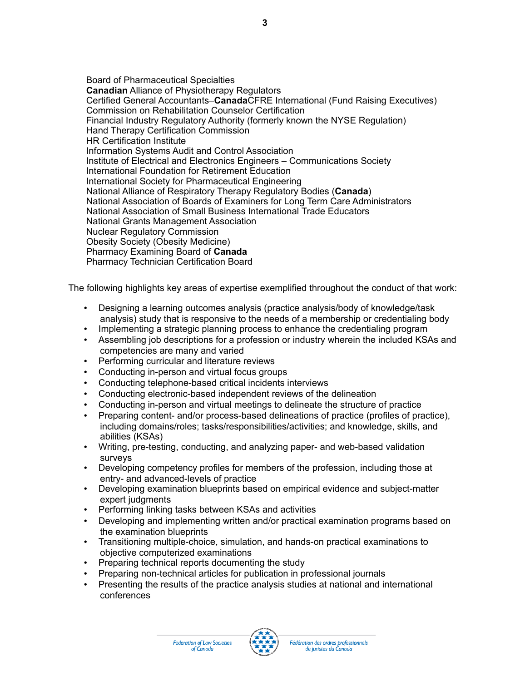Board of Pharmaceutical Specialties **Canadian** Alliance of Physiotherapy Regulators Certified General Accountants–**Canada**CFRE International (Fund Raising Executives) Commission on Rehabilitation Counselor Certification Financial Industry Regulatory Authority (formerly known the NYSE Regulation) Hand Therapy Certification Commission HR Certification Institute Information Systems Audit and Control Association Institute of Electrical and Electronics Engineers – Communications Society International Foundation for Retirement Education International Society for Pharmaceutical Engineering National Alliance of Respiratory Therapy Regulatory Bodies (**Canada**) National Association of Boards of Examiners for Long Term Care Administrators National Association of Small Business International Trade Educators National Grants Management Association Nuclear Regulatory Commission Obesity Society (Obesity Medicine) Pharmacy Examining Board of **Canada** Pharmacy Technician Certification Board

The following highlights key areas of expertise exemplified throughout the conduct of that work:

- Designing a learning outcomes analysis (practice analysis/body of knowledge/task analysis) study that is responsive to the needs of a membership or credentialing body
- Implementing a strategic planning process to enhance the credentialing program
- Assembling job descriptions for a profession or industry wherein the included KSAs and competencies are many and varied
- Performing curricular and literature reviews
- Conducting in-person and virtual focus groups
- Conducting telephone-based critical incidents interviews
- Conducting electronic-based independent reviews of the delineation
- Conducting in-person and virtual meetings to delineate the structure of practice
- Preparing content- and/or process-based delineations of practice (profiles of practice), including domains/roles; tasks/responsibilities/activities; and knowledge, skills, and abilities (KSAs)
- Writing, pre-testing, conducting, and analyzing paper- and web-based validation surveys
- Developing competency profiles for members of the profession, including those at entry- and advanced-levels of practice
- Developing examination blueprints based on empirical evidence and subject-matter expert judgments
- Performing linking tasks between KSAs and activities
- Developing and implementing written and/or practical examination programs based on the examination blueprints
- Transitioning multiple-choice, simulation, and hands-on practical examinations to objective computerized examinations
- Preparing technical reports documenting the study
- Preparing non-technical articles for publication in professional journals
- Presenting the results of the practice analysis studies at national and international conferences